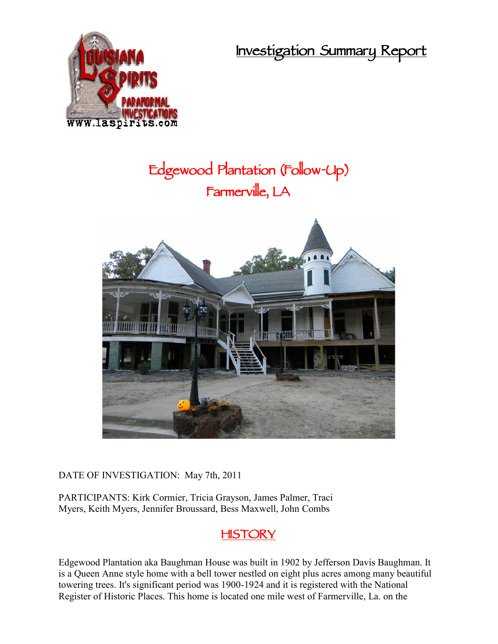**Investigation Summary Report**



# **Edgewood Plantation (Follow-Up) Farmerville, LA**



DATE OF INVESTIGATION: May 7th, 2011

PARTICIPANTS: Kirk Cormier, Tricia Grayson, James Palmer, Traci Myers, Keith Myers, Jennifer Broussard, Bess Maxwell, John Combs

### **HISTORY**

Edgewood Plantation aka Baughman House was built in 1902 by Jefferson Davis Baughman. It is a Queen Anne style home with a bell tower nestled on eight plus acres among many beautiful towering trees. It's significant period was 1900-1924 and it is registered with the National Register of Historic Places. This home is located one mile west of Farmerville, La. on the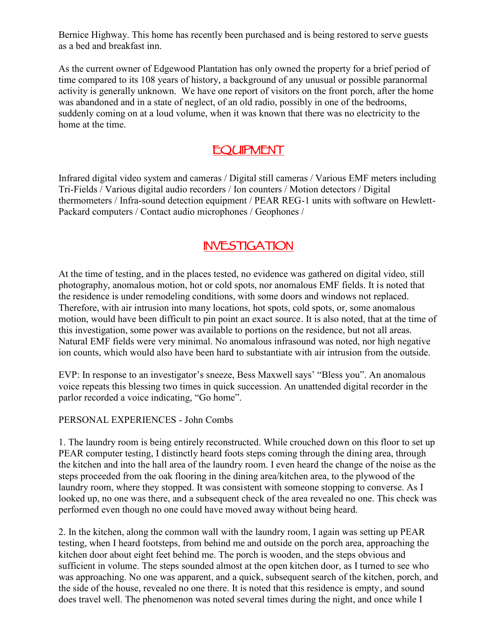Bernice Highway. This home has recently been purchased and is being restored to serve guests as a bed and breakfast inn.

As the current owner of Edgewood Plantation has only owned the property for a brief period of time compared to its 108 years of history, a background of any unusual or possible paranormal activity is generally unknown. We have one report of visitors on the front porch, after the home was abandoned and in a state of neglect, of an old radio, possibly in one of the bedrooms, suddenly coming on at a loud volume, when it was known that there was no electricity to the home at the time.

## **EQUIPMENT**

Infrared digital video system and cameras / Digital still cameras / Various EMF meters including Tri-Fields / Various digital audio recorders / Ion counters / Motion detectors / Digital thermometers / Infra-sound detection equipment / PEAR REG-1 units with software on Hewlett- Packard computers / Contact audio microphones / Geophones /

# **INVESTIGATION**

At the time of testing, and in the places tested, no evidence was gathered on digital video, still photography, anomalous motion, hot or cold spots, nor anomalous EMF fields. It is noted that the residence is under remodeling conditions, with some doors and windows not replaced. Therefore, with air intrusion into many locations, hot spots, cold spots, or, some anomalous motion, would have been difficult to pin point an exact source. It is also noted, that at the time of this investigation, some power was available to portions on the residence, but not all areas. Natural EMF fields were very minimal. No anomalous infrasound was noted, nor high negative ion counts, which would also have been hard to substantiate with air intrusion from the outside.

EVP: In response to an investigator's sneeze, Bess Maxwell says' "Bless you". An anomalous voice repeats this blessing two times in quick succession. An unattended digital recorder in the parlor recorded a voice indicating, "Go home".

PERSONAL EXPERIENCES - John Combs

1. The laundry room is being entirely reconstructed. While crouched down on this floor to set up PEAR computer testing, I distinctly heard foots steps coming through the dining area, through the kitchen and into the hall area of the laundry room. I even heard the change of the noise as the steps proceeded from the oak flooring in the dining area/kitchen area, to the plywood of the laundry room, where they stopped. It was consistent with someone stopping to converse. As I looked up, no one was there, and a subsequent check of the area revealed no one. This check was performed even though no one could have moved away without being heard.

2. In the kitchen, along the common wall with the laundry room, I again was setting up PEAR testing, when I heard footsteps, from behind me and outside on the porch area, approaching the kitchen door about eight feet behind me. The porch is wooden, and the steps obvious and sufficient in volume. The steps sounded almost at the open kitchen door, as I turned to see who was approaching. No one was apparent, and a quick, subsequent search of the kitchen, porch, and the side of the house, revealed no one there. It is noted that this residence is empty, and sound does travel well. The phenomenon was noted several times during the night, and once while I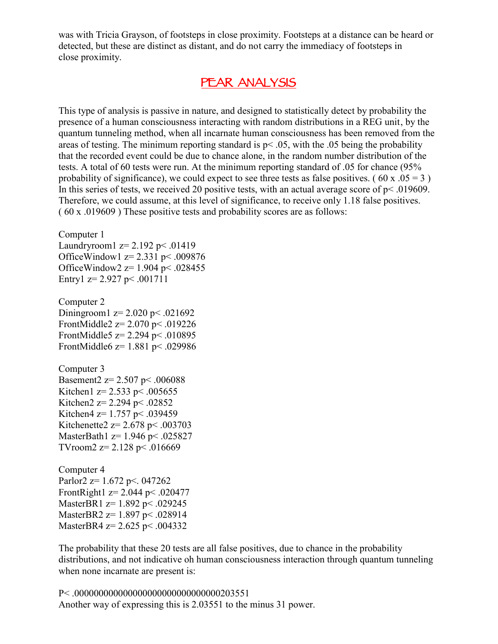was with Tricia Grayson, of footsteps in close proximity. Footsteps at a distance can be heard or detected, but these are distinct as distant, and do not carry the immediacy of footsteps in close proximity.

#### **PEAR ANALYSIS**

This type of analysis is passive in nature, and designed to statistically detect by probability the presence of a human consciousness interacting with random distributions in a REG unit, by the quantum tunneling method, when all incarnate human consciousness has been removed from the areas of testing. The minimum reporting standard is  $p < .05$ , with the .05 being the probability that the recorded event could be due to chance alone, in the random number distribution of the tests. A total of 60 tests were run. At the minimum reporting standard of .05 for chance (95% probability of significance), we could expect to see three tests as false positives. (60 x  $.05 = 3$ ) In this series of tests, we received 20 positive tests, with an actual average score of  $p < .019609$ . Therefore, we could assume, at this level of significance, to receive only 1.18 false positives. ( 60 x .019609 ) These positive tests and probability scores are as follows:

Computer 1 Laundryroom  $1 z = 2.192 \text{ p} < .01419$ OfficeWindow1 z= 2.331 p< .009876 OfficeWindow2  $z=1.904$  p< .028455 Entry1  $z=$  2.927 p < .001711 Computer 2 Diningroom1  $z = 2.020$  p< .021692 FrontMiddle2  $z= 2.070$  p< .019226 FrontMiddle5 z= 2.294 p< .010895 FrontMiddle6 z= 1.881 p< .029986 Computer 3 Basement2  $z= 2.507$  p< .006088 Kitchen1  $z=$  2.533 p < .005655 Kitchen2 z= 2.294 p < .02852 Kitchen4 z=  $1.757$  p< .039459 Kitchenette2 z=  $2.678$  p<  $.003703$ MasterBath1 z= 1.946 p< .025827 TVroom2  $z=$  2.128 p < .016669 Computer 4

Parlor2  $z=1.672$  p<. 047262 FrontRight1  $z = 2.044$  p < .020477 MasterBR1 z= 1.892 p< .029245 MasterBR2 z= 1.897 p < .028914 MasterBR4 z= 2.625 p< .004332

The probability that these 20 tests are all false positives, due to chance in the probability distributions, and not indicative oh human consciousness interaction through quantum tunneling when none incarnate are present is:

P< .000000000000000000000000000000203551 Another way of expressing this is 2.03551 to the minus 31 power.